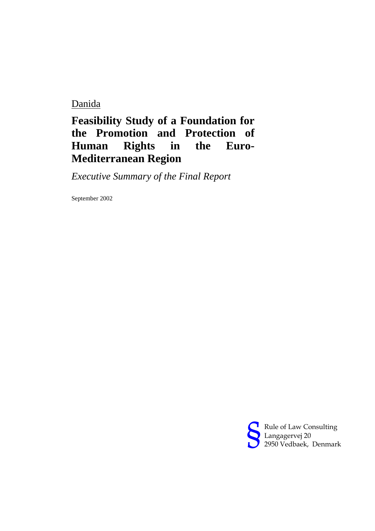Danida

## **Feasibility Study of a Foundation for the Promotion and Protection of Human Rights in the Euro-Mediterranean Region**

*Executive Summary of the Final Report*

September 2002

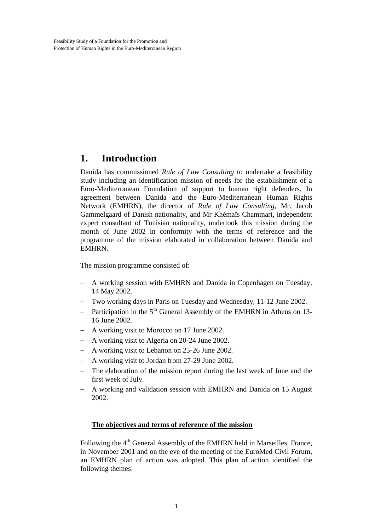## **1. Introduction**

Danida has commissioned *Rule of Law Consulting* to undertake a feasibility study including an identification mission of needs for the establishment of a Euro-Mediterranean Foundation of support to human right defenders. In agreement between Danida and the Euro-Mediterranean Human Rights Network (EMHRN), the director of *Rule of Law Consulting*, Mr. Jacob Gammelgaard of Danish nationality, and Mr Khémaïs Chammari, independent expert consultant of Tunisian nationality, undertook this mission during the month of June 2002 in conformity with the terms of reference and the programme of the mission elaborated in collaboration between Danida and EMHRN.

The mission programme consisted of:

- A working session with EMHRN and Danida in Copenhagen on Tuesday, 14 May 2002.
- Two working days in Paris on Tuesday and Wednesday, 11-12 June 2002.
- Participation in the  $5<sup>th</sup>$  General Assembly of the EMHRN in Athens on 13-16 June 2002.
- A working visit to Morocco on 17 June 2002.
- A working visit to Algeria on 20-24 June 2002.
- A working visit to Lebanon on 25-26 June 2002.
- A working visit to Jordan from 27-29 June 2002.
- The elaboration of the mission report during the last week of June and the first week of July.
- A working and validation session with EMHRN and Danida on 15 August 2002.

## **The objectives and terms of reference of the mission**

Following the 4<sup>th</sup> General Assembly of the EMHRN held in Marseilles, France, in November 2001 and on the eve of the meeting of the EuroMed Civil Forum, an EMHRN plan of action was adopted. This plan of action identified the following themes: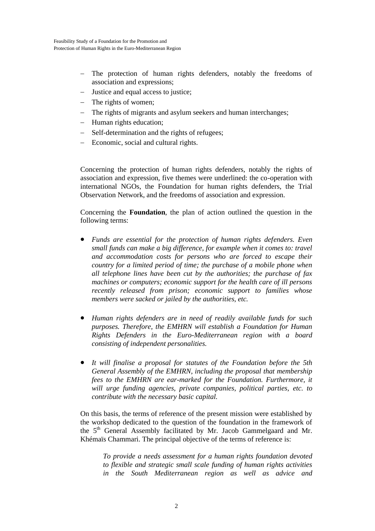- The protection of human rights defenders, notably the freedoms of association and expressions;
- Justice and equal access to justice;
- The rights of women;
- The rights of migrants and asylum seekers and human interchanges;
- Human rights education;
- Self-determination and the rights of refugees;
- Economic, social and cultural rights.

Concerning the protection of human rights defenders, notably the rights of association and expression, five themes were underlined: the co-operation with international NGOs, the Foundation for human rights defenders, the Trial Observation Network, and the freedoms of association and expression.

Concerning the **Foundation**, the plan of action outlined the question in the following terms:

- *Funds are essential for the protection of human rights defenders. Even small funds can make a big difference, for example when it comes to: travel and accommodation costs for persons who are forced to escape their country for a limited period of time; the purchase of a mobile phone when all telephone lines have been cut by the authorities; the purchase of fax machines or computers; economic support for the health care of ill persons recently released from prison; economic support to families whose members were sacked or jailed by the authorities, etc.*
- *Human rights defenders are in need of readily available funds for such purposes. Therefore, the EMHRN will establish a Foundation for Human Rights Defenders in the Euro-Mediterranean region with a board consisting of independent personalities.*
- *It will finalise a proposal for statutes of the Foundation before the 5th General Assembly of the EMHRN, including the proposal that membership fees to the EMHRN are ear-marked for the Foundation. Furthermore, it will urge funding agencies, private companies, political parties, etc. to contribute with the necessary basic capital.*

On this basis, the terms of reference of the present mission were established by the workshop dedicated to the question of the foundation in the framework of the 5<sup>th</sup> General Assembly facilitated by Mr. Jacob Gammelgaard and Mr. Khémaïs Chammari. The principal objective of the terms of reference is:

*To provide a needs assessment for a human rights foundation devoted to flexible and strategic small scale funding of human rights activities in the South Mediterranean region as well as advice and*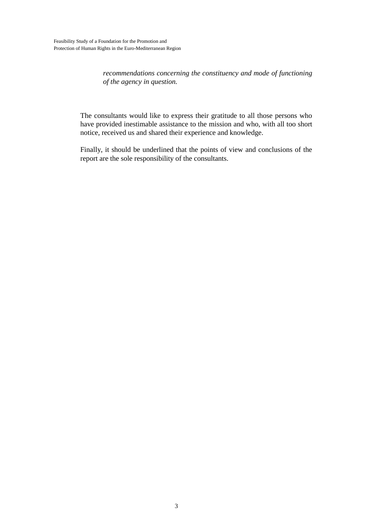*recommendations concerning the constituency and mode of functioning of the agency in question.*

The consultants would like to express their gratitude to all those persons who have provided inestimable assistance to the mission and who, with all too short notice, received us and shared their experience and knowledge.

Finally, it should be underlined that the points of view and conclusions of the report are the sole responsibility of the consultants.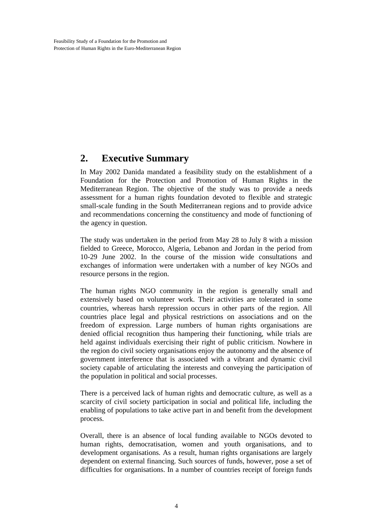## **2. Executive Summary**

In May 2002 Danida mandated a feasibility study on the establishment of a Foundation for the Protection and Promotion of Human Rights in the Mediterranean Region. The objective of the study was to provide a needs assessment for a human rights foundation devoted to flexible and strategic small-scale funding in the South Mediterranean regions and to provide advice and recommendations concerning the constituency and mode of functioning of the agency in question.

The study was undertaken in the period from May 28 to July 8 with a mission fielded to Greece, Morocco, Algeria, Lebanon and Jordan in the period from 10-29 June 2002. In the course of the mission wide consultations and exchanges of information were undertaken with a number of key NGOs and resource persons in the region.

The human rights NGO community in the region is generally small and extensively based on volunteer work. Their activities are tolerated in some countries, whereas harsh repression occurs in other parts of the region. All countries place legal and physical restrictions on associations and on the freedom of expression. Large numbers of human rights organisations are denied official recognition thus hampering their functioning, while trials are held against individuals exercising their right of public criticism. Nowhere in the region do civil society organisations enjoy the autonomy and the absence of government interference that is associated with a vibrant and dynamic civil society capable of articulating the interests and conveying the participation of the population in political and social processes.

There is a perceived lack of human rights and democratic culture, as well as a scarcity of civil society participation in social and political life, including the enabling of populations to take active part in and benefit from the development process.

Overall, there is an absence of local funding available to NGOs devoted to human rights, democratisation, women and youth organisations, and to development organisations. As a result, human rights organisations are largely dependent on external financing. Such sources of funds, however, pose a set of difficulties for organisations. In a number of countries receipt of foreign funds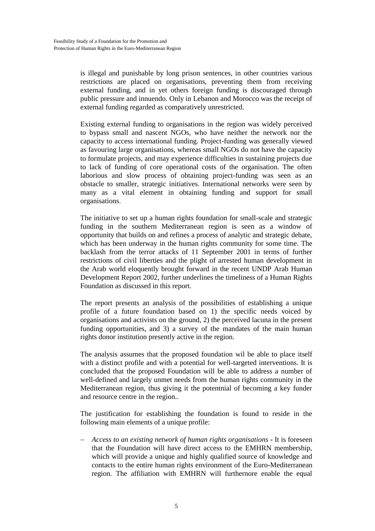is illegal and punishable by long prison sentences, in other countries various restrictions are placed on organisations, preventing them from receiving external funding, and in yet others foreign funding is discouraged through public pressure and innuendo. Only in Lebanon and Morocco was the receipt of external funding regarded as comparatively unrestricted.

Existing external funding to organisations in the region was widely perceived to bypass small and nascent NGOs, who have neither the network nor the capacity to access international funding. Project-funding was generally viewed as favouring large organisations, whereas small NGOs do not have the capacity to formulate projects, and may experience difficulties in sustaining projects due to lack of funding of core operational costs of the organisation. The often laborious and slow process of obtaining project-funding was seen as an obstacle to smaller, strategic initiatives. International networks were seen by many as a vital element in obtaining funding and support for small organisations.

The initiative to set up a human rights foundation for small-scale and strategic funding in the southern Mediterranean region is seen as a window of opportunity that builds on and refines a process of analytic and strategic debate, which has been underway in the human rights community for some time. The backlash from the terror attacks of 11 September 2001 in terms of further restrictions of civil liberties and the plight of arrested human development in the Arab world eloquently brought forward in the recent UNDP Arab Human Development Report 2002, further underlines the timeliness of a Human Rights Foundation as discussed in this report.

The report presents an analysis of the possibilities of establishing a unique profile of a future foundation based on 1) the specific needs voiced by organisations and activists on the ground, 2) the perceived lacuna in the present funding opportunities, and 3) a survey of the mandates of the main human rights donor institution presently active in the region.

The analysis assumes that the proposed foundation wil be able to place itself with a distinct profile and with a potential for well-targeted interventions. It is concluded that the proposed Foundation will be able to address a number of well-defined and largely unmet needs from the human rights community in the Mediterranean region, thus giving it the potentnial of becoming a key funder and resource centre in the region..

The justification for establishing the foundation is found to reside in the following main elements of a unique profile:

 *Access to an existing network of human rights organisations* **-** It is foreseen that the Foundation will have direct access to the EMHRN membership, which will provide a unique and highly qualified source of knowledge and contacts to the entire human rights environment of the Euro-Mediterranean region. The affiliation with EMHRN will furthernore enable the equal